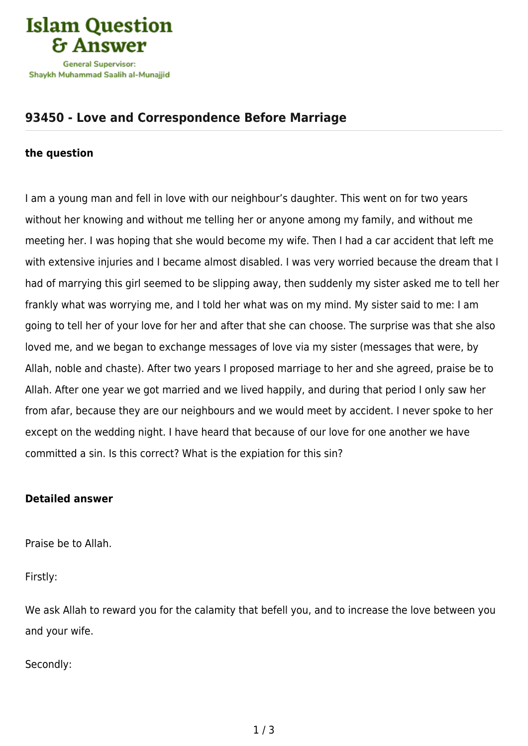

## **[93450 - Love and Correspondence Before Marriage](https://islamqa.com/en/answers/93450/love-and-correspondence-before-marriage)**

## **the question**

I am a young man and fell in love with our neighbour's daughter. This went on for two years without her knowing and without me telling her or anyone among my family, and without me meeting her. I was hoping that she would become my wife. Then I had a car accident that left me with extensive injuries and I became almost disabled. I was very worried because the dream that I had of marrying this girl seemed to be slipping away, then suddenly my sister asked me to tell her frankly what was worrying me, and I told her what was on my mind. My sister said to me: I am going to tell her of your love for her and after that she can choose. The surprise was that she also loved me, and we began to exchange messages of love via my sister (messages that were, by Allah, noble and chaste). After two years I proposed marriage to her and she agreed, praise be to Allah. After one year we got married and we lived happily, and during that period I only saw her from afar, because they are our neighbours and we would meet by accident. I never spoke to her except on the wedding night. I have heard that because of our love for one another we have committed a sin. Is this correct? What is the expiation for this sin?

## **Detailed answer**

Praise be to Allah.

Firstly:

We ask Allah to reward you for the calamity that befell you, and to increase the love between you and your wife.

Secondly: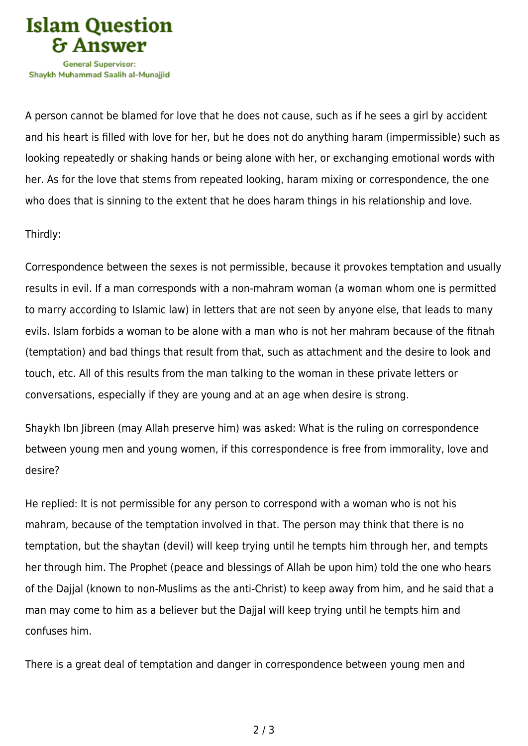

A person cannot be blamed for love that he does not cause, such as if he sees a girl by accident and his heart is filled with love for her, but he does not do anything haram (impermissible) such as looking repeatedly or shaking hands or being alone with her, or exchanging emotional words with her. As for the love that stems from repeated looking, haram mixing or correspondence, the one who does that is sinning to the extent that he does haram things in his relationship and love.

## Thirdly:

Correspondence between the sexes is not permissible, because it provokes temptation and usually results in evil. If a man corresponds with a non-mahram woman (a woman whom one is permitted to marry according to Islamic law) in letters that are not seen by anyone else, that leads to many evils. Islam forbids a woman to be alone with a man who is not her mahram because of the fitnah (temptation) and bad things that result from that, such as attachment and the desire to look and touch, etc. All of this results from the man talking to the woman in these private letters or conversations, especially if they are young and at an age when desire is strong.

Shaykh Ibn Jibreen (may Allah preserve him) was asked: What is the ruling on correspondence between young men and young women, if this correspondence is free from immorality, love and desire?

He replied: It is not permissible for any person to correspond with a woman who is not his mahram, because of the temptation involved in that. The person may think that there is no temptation, but the shaytan (devil) will keep trying until he tempts him through her, and tempts her through him. The Prophet (peace and blessings of Allah be upon him) told the one who hears of the Dajjal (known to non-Muslims as the anti-Christ) to keep away from him, and he said that a man may come to him as a believer but the Dajjal will keep trying until he tempts him and confuses him.

There is a great deal of temptation and danger in correspondence between young men and

2 / 3